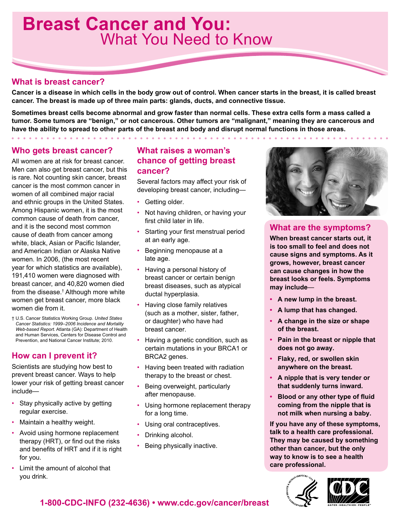## **Breast Cancer and You:** What You Need to Know

### **What is breast cancer?**

**Cancer is a disease in which cells in the body grow out of control. When cancer starts in the breast, it is called breast cancer. The breast is made up of three main parts: glands, ducts, and connective tissue.** 

**Sometimes breast cells become abnormal and grow faster than normal cells. These extra cells form a mass called a tumor. Some tumors are "benign," or not cancerous. Other tumors are "malignant," meaning they are cancerous and have the ability to spread to other parts of the breast and body and disrupt normal functions in those areas.**

### **Who gets breast cancer?**

All women are at risk for breast cancer. Men can also get breast cancer, but this is rare. Not counting skin cancer, breast cancer is the most common cancer in women of all combined major racial and ethnic groups in the United States. Among Hispanic women, it is the most common cause of death from cancer, and it is the second most common cause of death from cancer among white, black, Asian or Pacific Islander, and American Indian or Alaska Native women. In 2006, (the most recent year for which statistics are available), 191,410 women were diagnosed with breast cancer, and 40,820 women died from the disease.† Although more white women get breast cancer, more black women die from it.

† U.S. Cancer Statistics Working Group. *United States Cancer Statistics: 1999–2006 Incidence and Mortality Web-based Report.* Atlanta (GA): Department of Health and Human Services, Centers for Disease Control and Prevention, and National Cancer Institute; 2010.

### **How can I prevent it?**

Scientists are studying how best to prevent breast cancer. Ways to help lower your risk of getting breast cancer include—

- Stay physically active by getting regular exercise.
- Maintain a healthy weight.
- Avoid using hormone replacement therapy (HRT), or find out the risks and benefits of HRT and if it is right for you.
- Limit the amount of alcohol that you drink.

### **What raises a woman's chance of getting breast cancer?**

Several factors may affect your risk of developing breast cancer, including—

- Getting older.
- Not having children, or having your first child later in life.
- Starting your first menstrual period at an early age.
- Beginning menopause at a late age.
- Having a personal history of breast cancer or certain benign breast diseases, such as atypical ductal hyperplasia.
- Having close family relatives (such as a mother, sister, father, or daughter) who have had breast cancer.
- Having a genetic condition, such as certain mutations in your BRCA1 or BRCA2 genes.
- Having been treated with radiation therapy to the breast or chest.
- Being overweight, particularly after menopause.
- Using hormone replacement therapy for a long time.
- Using oral contraceptives.
- Drinking alcohol.
- Being physically inactive.

### **What are the symptoms?**

**When breast cancer starts out, it is too small to feel and does not cause signs and symptoms. As it grows, however, breast cancer can cause changes in how the breast looks or feels. Symptoms may include**—

- **• A new lump in the breast.**
- **• A lump that has changed.**
- **• A change in the size or shape of the breast.**
- **• Pain in the breast or nipple that does not go away.**
- **• Flaky, red, or swollen skin anywhere on the breast.**
- **• A nipple that is very tender or that suddenly turns inward.**
- **• Blood or any other type of fluid coming from the nipple that is not milk when nursing a baby.**

**If you have any of these symptoms, talk to a health care professional. They may be caused by something other than cancer, but the only way to know is to see a health care professional.**





**1-800-CDC-INFO (232-4636) • [www.cdc.gov/cancer](www.cdc.gov/cancer/breast)/breast**